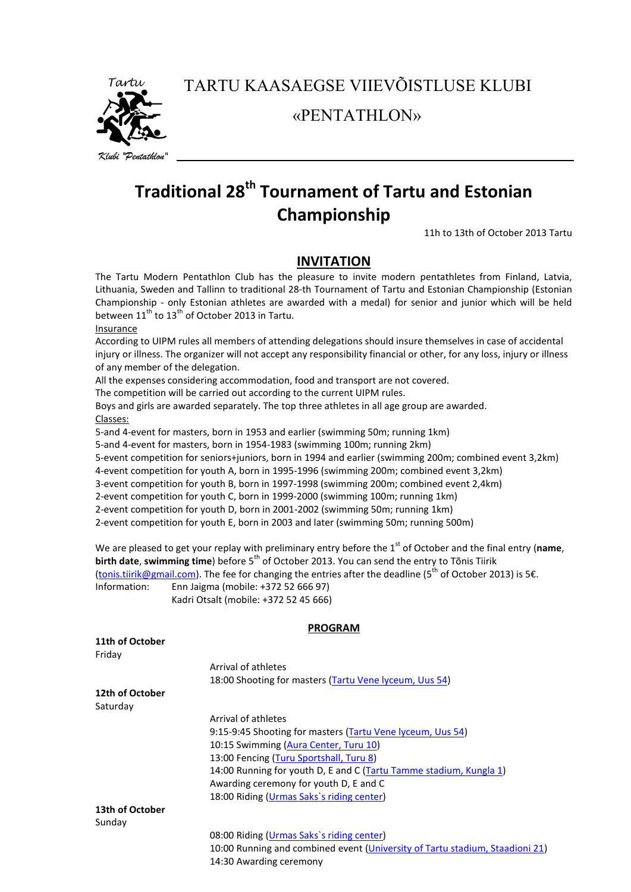

TARTU KAASAEGSE VIIEVÕISTLUSE KLUBI

«PENTATHLON»

# **Traditional 28th Tournament of Tartu and Estonian Championship**

11h to 13th of October 2013 Tartu

## **INVITATION**

The Tartu Modern Pentathlon Club has the pleasure to invite modern pentathletes from Finland, Latvia, Lithuania, Sweden and Tallinn to traditional 28-th Tournament of Tartu and Estonian Championship (Estonian Championship - only Estonian athletes are awarded with a medal) for senior and junior which will be held between  $11^{\text{th}}$  to  $13^{\text{th}}$  of October 2013 in Tartu.

#### **Insurance**

According to UIPM rules all members of attending delegations should insure themselves in case of accidental injury or illness. The organizer will not accept any responsibility financial or other, for any loss, injury or illness of any member of the delegation.

All the expenses considering accommodation, food and transport are not covered.

The competition will be carried out according to the current UIPM rules.

Boys and girls are awarded separately. The top three athletes in all age group are awarded. Classes:

5-and 4-event for masters, born in 1953 and earlier (swimming 50m; running 1km)

5-and 4-event for masters, born in 1954-1983 (swimming 100m; running 2km)

5-event competition for seniors+juniors, born in 1994 and earlier (swimming 200m; combined event 3,2km)

4-event competition for youth A, born in 1995-1996 (swimming 200m; combined event 3,2km)

3-event competition for youth B, born in 1997-1998 (swimming 200m; combined event 2,4km)

2-event competition for youth C, born in 1999-2000 (swimming 100m; running 1km)

2-event competition for youth D, born in 2001-2002 (swimming 50m; running 1km)

2-event competition for youth E, born in 2003 and later (swimming 50m; running 500m)

We are pleased to get your replay with preliminary entry before the 1<sup>st</sup> of October and the final entry (name, **birth date, swimming time**) before 5<sup>th</sup> of October 2013. You can send the entry to Tõnis Tiirik [\(tonis.tiirik@gmail.com\)](mailto:tonis.tiirik@gmail.com). The fee for changing the entries after the deadline (5<sup>th</sup> of October 2013) is 5€. Information: Enn Jaigma (mobile: +372 52 666 97) Kadri Otsalt (mobile: +372 52 45 666)

### **PROGRAM**

| Arrival of athletes                                                          |
|------------------------------------------------------------------------------|
| 18:00 Shooting for masters (Tartu Vene lyceum, Uus 54)                       |
|                                                                              |
|                                                                              |
| Arrival of athletes                                                          |
| 9:15-9:45 Shooting for masters (Tartu Vene lyceum, Uus 54)                   |
| 10:15 Swimming (Aura Center, Turu 10)                                        |
| 13:00 Fencing (Turu Sportshall, Turu 8)                                      |
| 14:00 Running for youth D, E and C (Tartu Tamme stadium, Kungla 1)           |
| Awarding ceremony for youth D, E and C                                       |
| 18:00 Riding (Urmas Saks's riding center)                                    |
|                                                                              |
|                                                                              |
| 08:00 Riding (Urmas Saks's riding center)                                    |
| 10:00 Running and combined event (University of Tartu stadium, Staadioni 21) |
| 14:30 Awarding ceremony                                                      |
|                                                                              |